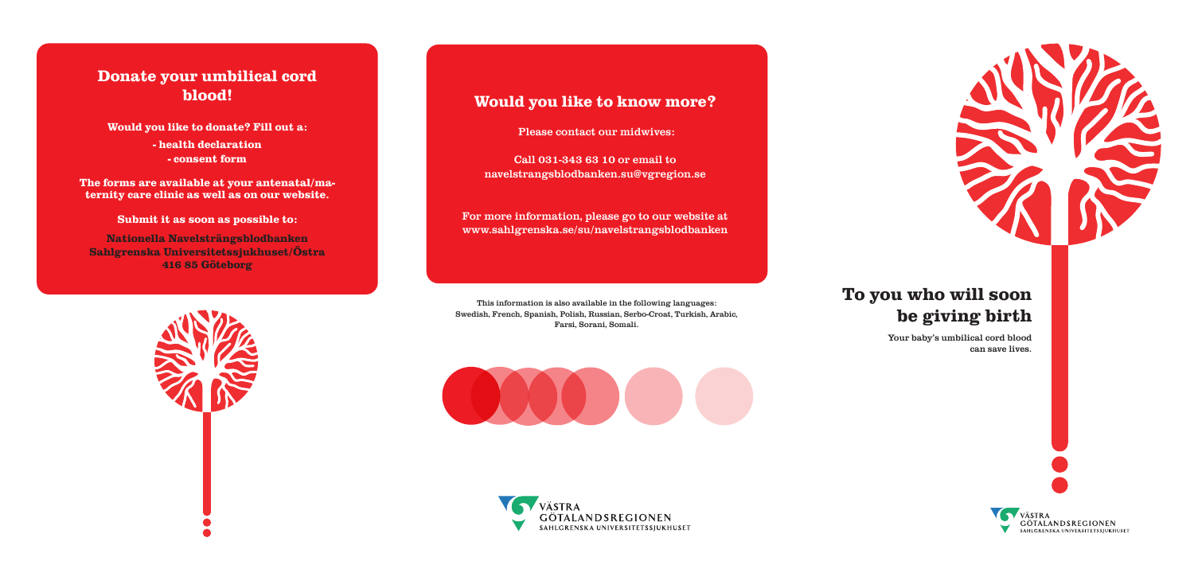# **To you who will soon be giving birth**

Your baby's umbilical cord blood can save lives.









# **Donate your umbilical cord blood!**

**Would you like to donate? Fill out a:**

**- health declaration - consent form**

**The forms are available at your antenatal/maternity care clinic as well as on our website.**

## **Submit it as soon as possible to:**

**Nationella Navelsträngsblodbanken Sahlgrenska Universitetssjukhuset/Östra 416 85 Göteborg**



# **Would you like to know more?**

Please contact our midwives:

Call 031-343 63 10 or email to navelstrangsblodbanken.su@vgregion.se

For more information, please go to our website at www.sahlgrenska.se/su/navelstrangsblodbanken

This information is also available in the following languages: Swedish, French, Spanish, Polish, Russian, Serbo-Croat, Turkish, Arabic, Farsi, Sorani, Somali.